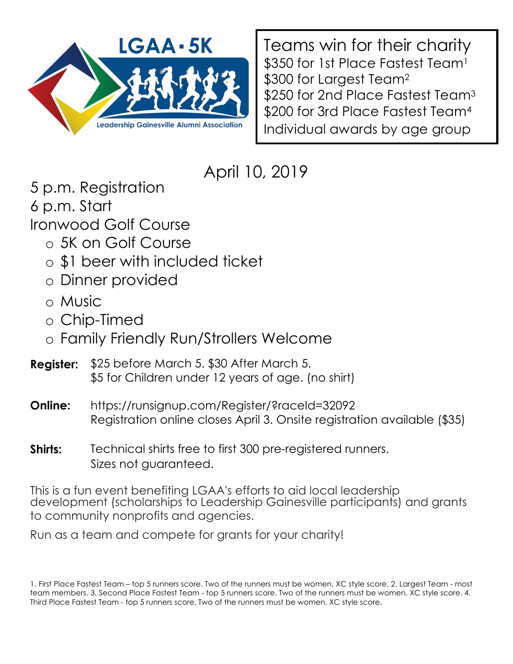

Teams win for their charity \$350 for 1st Place Fastest Team<sup>1</sup> \$300 for Largest Team<sup>2</sup> \$250 for 2nd Place Fastest Team<sup>3</sup> \$200 for 3rd Place Fastest Team<sup>4</sup> Individual awards by age group

# April 10, 2019

5 p.m. Registration 6 p.m. Start Ironwood Golf Course

- o 5K on Golf Course
- o \$1 beer with included ticket
- o Dinner provided
- o Music
- o Chip-Timed
- o Family Friendly Run/Strollers Welcome
- **Register:** \$25 before March 5. \$30 After March 5. \$5 for Children under 12 years of age. (no shirt)
- **Online:** https://runsignup.com/Register/?raceId=32092 Registration online closes April 3. Onsite registration available (\$35)
- **Shirts:** Technical shirts free to first 300 pre-registered runners. Sizes not guaranteed.

This is a fun event benefiting LGAA's efforts to aid local leadership development (scholarships to Leadership Gainesville participants) and grants to community nonprofits and agencies.

Run as a team and compete for grants for your charity!

<sup>1.</sup> First Place Fastest Team – top 5 runners score. Two of the runners must be women. XC style score. 2. Largest Team - most team members. 3. Second Place Fastest Team - top 5 runners score. Two of the runners must be women. XC style score. 4. Third Place Fastest Team - top 5 runners score. Two of the runners must be women. XC style score.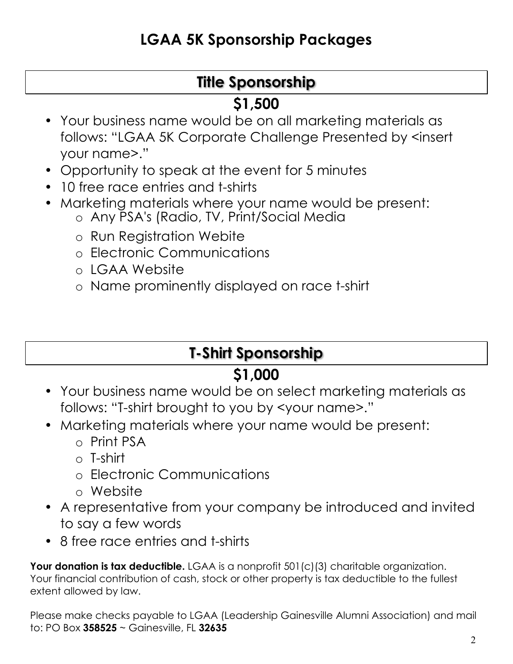# **LGAA 5K Sponsorship Packages**

# **Title Sponsorship**

#### **\$1,500**

- Your business name would be on all marketing materials as follows: "LGAA 5K Corporate Challenge Presented by <insert your name>."
- Opportunity to speak at the event for 5 minutes
- 10 free race entries and t-shirts
- Marketing materials where your name would be present:
	- o Any PSA's (Radio, TV, Print/Social Media
	- o Run Registration Webite
	- o Electronic Communications
	- o LGAA Website
	- o Name prominently displayed on race t-shirt

## **T-Shirt Sponsorship**

## **\$1,000**

- Your business name would be on select marketing materials as follows: "T-shirt brought to you by <your name>."
- Marketing materials where your name would be present:
	- o Print PSA
	- $\circ$  T-shirt
	- o Electronic Communications
	- o Website
- A representative from your company be introduced and invited to say a few words
- 8 free race entries and t-shirts

**Your donation is tax deductible.** LGAA is a nonprofit 501(c)(3) charitable organization. Your financial contribution of cash, stock or other property is tax deductible to the fullest extent allowed by law.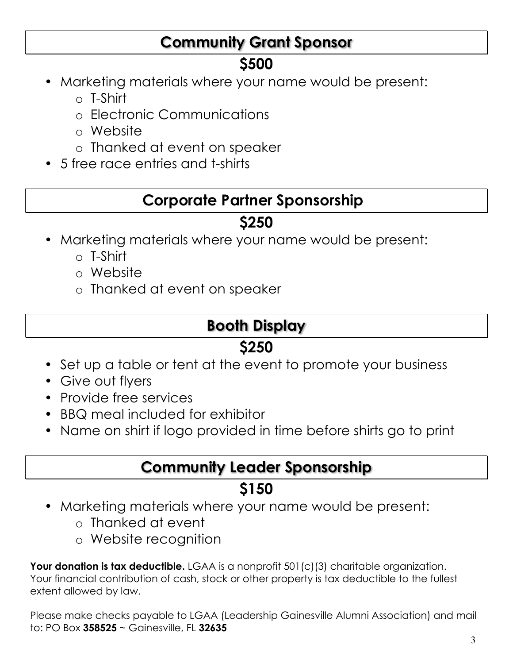## **Community Grant Sponsor**

# **\$500**

- Marketing materials where your name would be present:
	- o T-Shirt
	- o Electronic Communications
	- o Website
	- o Thanked at event on speaker
- 5 free race entries and t-shirts

#### **Corporate Partner Sponsorship**

# **\$250**

- Marketing materials where your name would be present:
	- o T-Shirt
	- o Website
	- o Thanked at event on speaker

# **Booth Display**

# **\$250**

- Set up a table or tent at the event to promote your business
- Give out flyers
- Provide free services
- BBQ meal included for exhibitor
- Name on shirt if logo provided in time before shirts go to print

## **Community Leader Sponsorship**

## **\$150**

- Marketing materials where your name would be present:
	- o Thanked at event
	- o Website recognition

**Your donation is tax deductible.** LGAA is a nonprofit 501(c)(3) charitable organization. Your financial contribution of cash, stock or other property is tax deductible to the fullest extent allowed by law.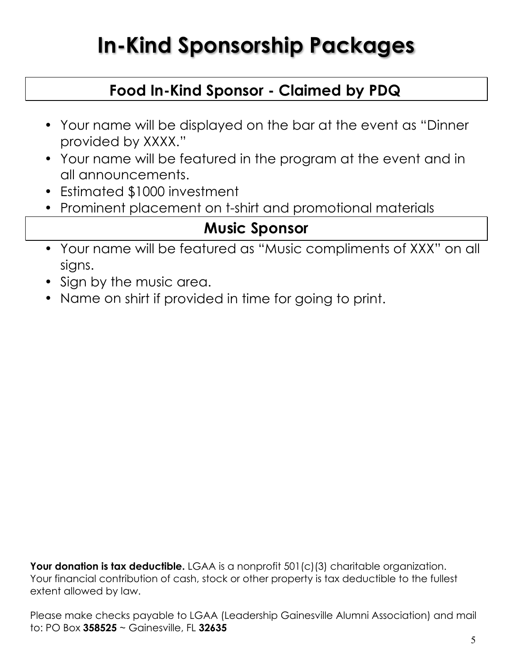# **In-Kind Sponsorship Packages**

## **Food In-Kind Sponsor - Claimed by PDQ**

- Your name will be displayed on the bar at the event as "Dinner provided by XXXX."
- Your name will be featured in the program at the event and in all announcements.
- Estimated \$1000 investment
- Prominent placement on t-shirt and promotional materials

#### **Music Sponsor**

- Your name will be featured as "Music compliments of XXX" on all signs.
- Sign by the music area.
- Name on shirt if provided in time for going to print.

**Your donation is tax deductible.** LGAA is a nonprofit 501(c)(3) charitable organization. Your financial contribution of cash, stock or other property is tax deductible to the fullest extent allowed by law.